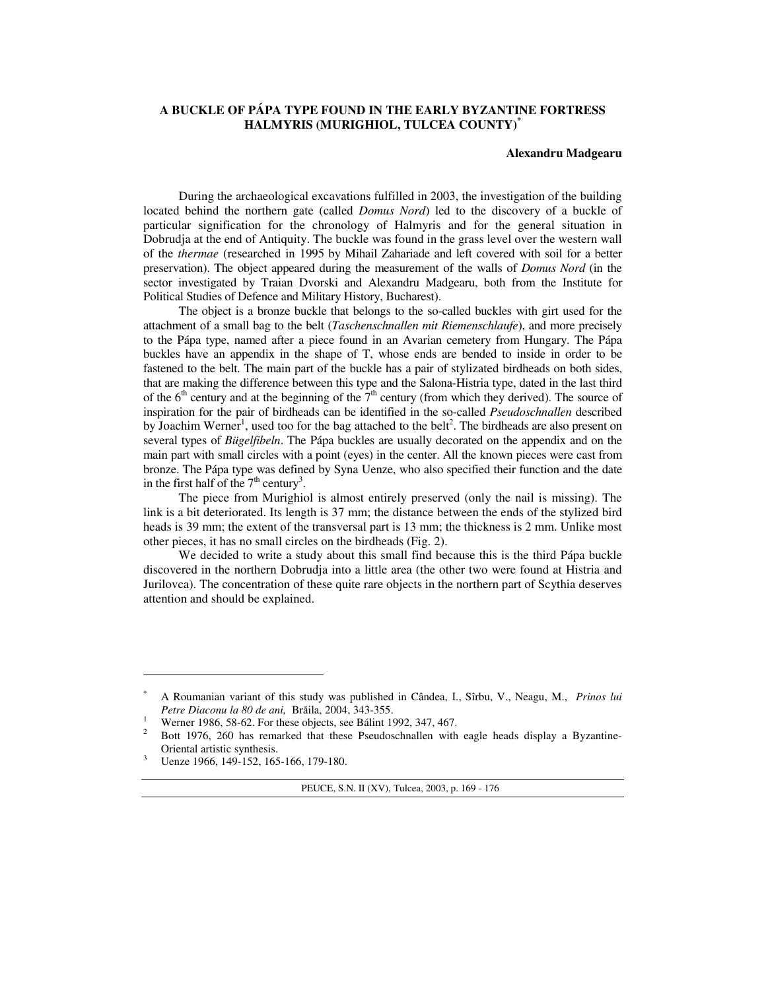## **A BUCKLE OF PÁPA TYPE FOUND IN THE EARLY BYZANTINE FORTRESS HALMYRIS (MURIGHIOL, TULCEA COUNTY)\***

## **Alexandru Madgearu**

During the archaeological excavations fulfilled in 2003, the investigation of the building located behind the northern gate (called *Domus Nord*) led to the discovery of a buckle of particular signification for the chronology of Halmyris and for the general situation in Dobrudja at the end of Antiquity. The buckle was found in the grass level over the western wall of the *thermae* (researched in 1995 by Mihail Zahariade and left covered with soil for a better preservation). The object appeared during the measurement of the walls of *Domus Nord* (in the sector investigated by Traian Dvorski and Alexandru Madgearu, both from the Institute for Political Studies of Defence and Military History, Bucharest).

The object is a bronze buckle that belongs to the so-called buckles with girt used for the attachment of a small bag to the belt (*Taschenschnallen mit Riemenschlaufe*), and more precisely to the Pápa type, named after a piece found in an Avarian cemetery from Hungary. The Pápa buckles have an appendix in the shape of T, whose ends are bended to inside in order to be fastened to the belt. The main part of the buckle has a pair of stylizated birdheads on both sides, that are making the difference between this type and the Salona-Histria type, dated in the last third of the  $6<sup>th</sup>$  century and at the beginning of the  $7<sup>th</sup>$  century (from which they derived). The source of inspiration for the pair of birdheads can be identified in the so-called *Pseudoschnallen* described by Joachim Werner<sup>1</sup>, used too for the bag attached to the belt<sup>2</sup>. The birdheads are also present on several types of *Bügelfibeln*. The Pápa buckles are usually decorated on the appendix and on the main part with small circles with a point (eyes) in the center. All the known pieces were cast from bronze. The Pápa type was defined by Syna Uenze, who also specified their function and the date in the first half of the  $7<sup>th</sup>$  century<sup>3</sup>.

The piece from Murighiol is almost entirely preserved (only the nail is missing). The link is a bit deteriorated. Its length is 37 mm; the distance between the ends of the stylized bird heads is 39 mm; the extent of the transversal part is 13 mm; the thickness is 2 mm. Unlike most other pieces, it has no small circles on the birdheads (Fig. 2).

We decided to write a study about this small find because this is the third Pápa buckle discovered in the northern Dobrudja into a little area (the other two were found at Histria and Jurilovca). The concentration of these quite rare objects in the northern part of Scythia deserves attention and should be explained.

 $\overline{a}$ 

PEUCE, S.N. II (XV), Tulcea, 2003, p. 169 - 176

<sup>\*</sup> A Roumanian variant of this study was published in Cândea, I., Sîrbu, V., Neagu, M., *Prinos lui Petre Diaconu la 80 de ani,* Brăila, 2004, 343-355.

<sup>1</sup> Werner 1986, 58-62. For these objects, see Bálint 1992, 347, 467. 2

Bott 1976, 260 has remarked that these Pseudoschnallen with eagle heads display a Byzantine-Oriental artistic synthesis.

<sup>3</sup> Uenze 1966, 149-152, 165-166, 179-180.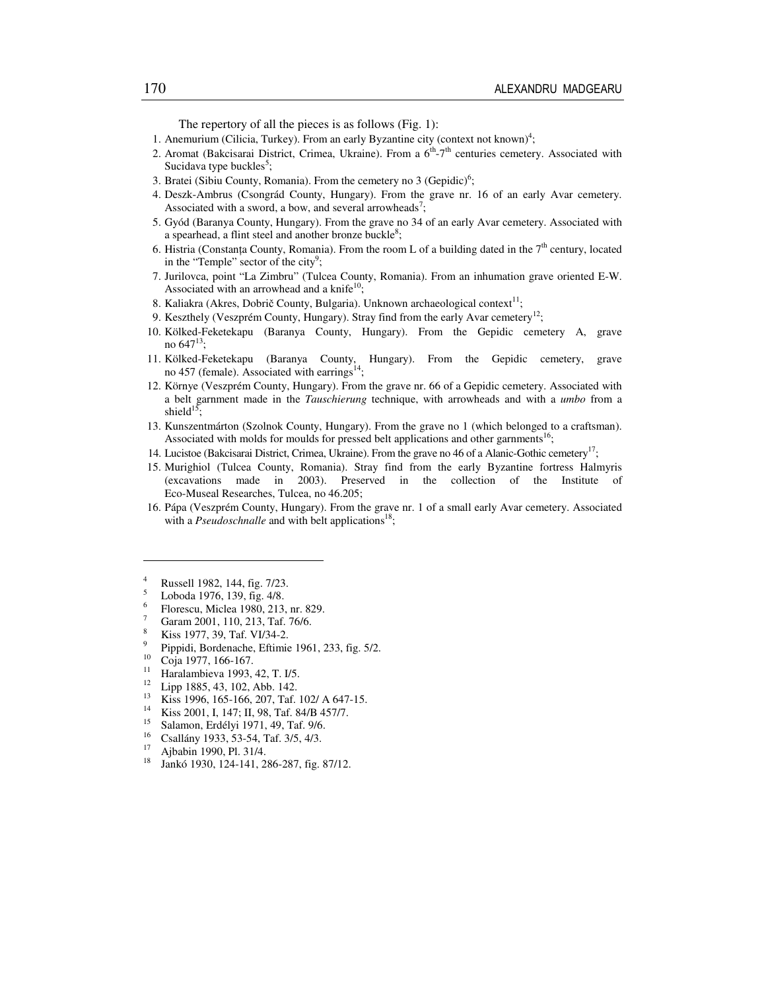The repertory of all the pieces is as follows (Fig. 1):

- 1. Anemurium (Cilicia, Turkey). From an early Byzantine city (context not known)<sup>4</sup>;
- 2. Aromat (Bakcisarai District, Crimea, Ukraine). From a  $6<sup>th</sup> 7<sup>th</sup>$  centuries cemetery. Associated with Sucidava type buckles<sup>5</sup>;
- 3. Bratei (Sibiu County, Romania). From the cemetery no  $3$  (Gepidic)<sup>6</sup>;
- 4. Deszk-Ambrus (Csongrád County, Hungary). From the grave nr. 16 of an early Avar cemetery. Associated with a sword, a bow, and several arrowheads<sup>7</sup>;
- 5. Gyód (Baranya County, Hungary). From the grave no 34 of an early Avar cemetery. Associated with a spearhead, a flint steel and another bronze buckle<sup>8</sup>;
- 6. Histria (Constanta County, Romania). From the room L of a building dated in the  $7<sup>th</sup>$  century, located in the "Temple" sector of the city $9$ ;
- 7. Jurilovca, point "La Zimbru" (Tulcea County, Romania). From an inhumation grave oriented E-W. Associated with an arrowhead and a knife<sup>10</sup>;
- 8. Kaliakra (Akres, Dobrič County, Bulgaria). Unknown archaeological context<sup>11</sup>;
- 9. Keszthely (Veszprém County, Hungary). Stray find from the early Avar cemetery<sup>12</sup>;
- 10. Kölked-Feketekapu (Baranya County, Hungary). From the Gepidic cemetery A, grave no  $647^{13}$ ;
- 11. Kölked-Feketekapu (Baranya County, Hungary). From the Gepidic cemetery, grave no 457 (female). Associated with earrings<sup>14</sup>
- 12. Környe (Veszprém County, Hungary). From the grave nr. 66 of a Gepidic cemetery. Associated with a belt garnment made in the *Tauschierung* technique, with arrowheads and with a *umbo* from a shield $15$ ;
- 13. Kunszentmárton (Szolnok County, Hungary). From the grave no 1 (which belonged to a craftsman). Associated with molds for moulds for pressed belt applications and other garnments<sup>16</sup>;
- 14. Lucistoe (Bakcisarai District, Crimea, Ukraine). From the grave no 46 of a Alanic-Gothic cemetery<sup>17</sup>;
- 15. Murighiol (Tulcea County, Romania). Stray find from the early Byzantine fortress Halmyris (excavations made in 2003). Preserved in the collection of the Institute of Eco-Museal Researches, Tulcea, no 46.205;
- 16. Pápa (Veszprém County, Hungary). From the grave nr. 1 of a small early Avar cemetery. Associated with a *Pseudoschnalle* and with belt applications<sup>18</sup>;

- Florescu, Miclea 1980, 213, nr. 829. 7
- Garam 2001, 110, 213, Taf. 76/6. 8
- Kiss 1977, 39, Taf. VI/34-2.  $\overline{9}$
- <sup>9</sup> Pippidi, Bordenache, Eftimie 1961, 233, fig. 5/2.
- $\frac{10}{11}$  Coja 1977, 166-167.

- <sup>11</sup> Haralambieva 1993, 42, T. I/5.
- $\frac{12}{13}$  Lipp 1885, 43, 102, Abb. 142.
- <sup>13</sup> Kiss 1996, 165-166, 207, Taf. 102/ A 647-15.<br><sup>14</sup> Kiss 2001, L<sub>147</sub>: H 08, Taf. 84/P 457/7
- <sup>14</sup> Kiss 2001, I, 147; II, 98, Taf. 84/B 457/7.
- <sup>15</sup> Salamon, Erdélyi 1971, 49, Taf. 9/6.
- <sup>16</sup> Csallány 1933, 53-54, Taf. 3/5, 4/3.
- $^{17}$  Ajbabin 1990, Pl. 31/4.
- <sup>18</sup> Jankó 1930, 124-141, 286-287, fig. 87/12.

<sup>4</sup> Russell 1982, 144, fig. 7/23.

<sup>5</sup> Loboda 1976, 139, fig. 4/8. 6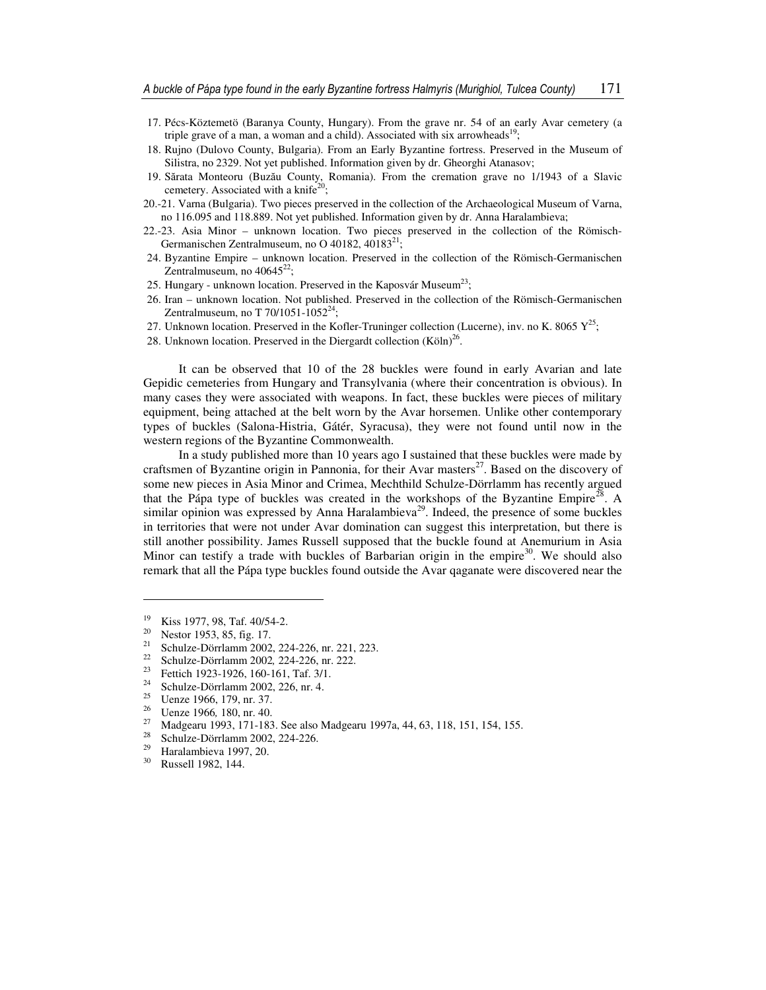- 17. Pécs-Köztemetö (Baranya County, Hungary). From the grave nr. 54 of an early Avar cemetery (a triple grave of a man, a woman and a child). Associated with six arrowheads<sup>19</sup>;
- 18. Rujno (Dulovo County, Bulgaria). From an Early Byzantine fortress. Preserved in the Museum of Silistra, no 2329. Not yet published. Information given by dr. Gheorghi Atanasov;
- 19. Sărata Monteoru (Buzău County, Romania). From the cremation grave no 1/1943 of a Slavic cemetery. Associated with a knife<sup>20</sup>;
- 20.-21. Varna (Bulgaria). Two pieces preserved in the collection of the Archaeological Museum of Varna, no 116.095 and 118.889. Not yet published. Information given by dr. Anna Haralambieva;
- 22.-23. Asia Minor unknown location. Two pieces preserved in the collection of the Römisch-Germanischen Zentralmuseum, no O 40182, 40183<sup>21</sup>;
- 24. Byzantine Empire unknown location. Preserved in the collection of the Römisch-Germanischen Zentralmuseum, no  $40645^{22}$ ;
- 25. Hungary unknown location. Preserved in the Kaposvár Museum<sup>23</sup>;
- 26. Iran unknown location. Not published. Preserved in the collection of the Römisch-Germanischen Zentralmuseum, no T 70/1051-1052<sup>24</sup>;
- 27. Unknown location. Preserved in the Kofler-Truninger collection (Lucerne), inv. no K. 8065  $Y^{25}$ ;
- 28. Unknown location. Preserved in the Diergardt collection  $(K\ddot{o}\ln)^{26}$ .

It can be observed that 10 of the 28 buckles were found in early Avarian and late Gepidic cemeteries from Hungary and Transylvania (where their concentration is obvious). In many cases they were associated with weapons. In fact, these buckles were pieces of military equipment, being attached at the belt worn by the Avar horsemen. Unlike other contemporary types of buckles (Salona-Histria, Gátér, Syracusa), they were not found until now in the western regions of the Byzantine Commonwealth.

In a study published more than 10 years ago I sustained that these buckles were made by craftsmen of Byzantine origin in Pannonia, for their Avar masters<sup>27</sup>. Based on the discovery of some new pieces in Asia Minor and Crimea, Mechthild Schulze-Dörrlamm has recently argued that the Pápa type of buckles was created in the workshops of the Byzantine Empire<sup>28</sup>. A similar opinion was expressed by Anna Haralambieva<sup>29</sup>. Indeed, the presence of some buckles in territories that were not under Avar domination can suggest this interpretation, but there is still another possibility. James Russell supposed that the buckle found at Anemurium in Asia Minor can testify a trade with buckles of Barbarian origin in the empire $30$ . We should also remark that all the Pápa type buckles found outside the Avar qaganate were discovered near the

 $\frac{19}{20}$  Kiss 1977, 98, Taf. 40/54-2.

<sup>&</sup>lt;sup>20</sup> Nestor 1953, 85, fig. 17.

<sup>&</sup>lt;sup>21</sup> Schulze-Dörrlamm 2002, 224-226, nr. 221, 223.<br><sup>22</sup> Schulze Dörrlamm 2002, 224-226, nr. 222.

<sup>&</sup>lt;sup>22</sup> Schulze-Dörrlamm 2002, 224-226, nr. 222.<br><sup>23</sup> Esttish 1022, 1026, 160, 161, Tsf, 211

<sup>&</sup>lt;sup>23</sup> Fettich 1923-1926, 160-161, Taf. 3/1.<br><sup>24</sup> Sebulga Dömlanm 2002, 226 av. 4.

<sup>&</sup>lt;sup>24</sup> Schulze-Dörrlamm 2002, 226, nr. 4.<br><sup>25</sup> Hanze 1066, 170, pr. <sup>27</sup>

<sup>&</sup>lt;sup>25</sup> Uenze 1966, 179, nr. 37.<br><sup>26</sup> Uenze 1966, 180, nr. 40.

<sup>&</sup>lt;sup>26</sup> Uenze 1966, 180, nr. 40.

<sup>&</sup>lt;sup>27</sup> Madgearu 1993, 171-183. See also Madgearu 1997a, 44, 63, 118, 151, 154, 155.

<sup>&</sup>lt;sup>28</sup> Schulze-Dörrlamm 2002, 224-226.

<sup>&</sup>lt;sup>29</sup> Haralambieva 1997, 20.<br><sup>30</sup> Pussell 1082, 144

Russell 1982, 144.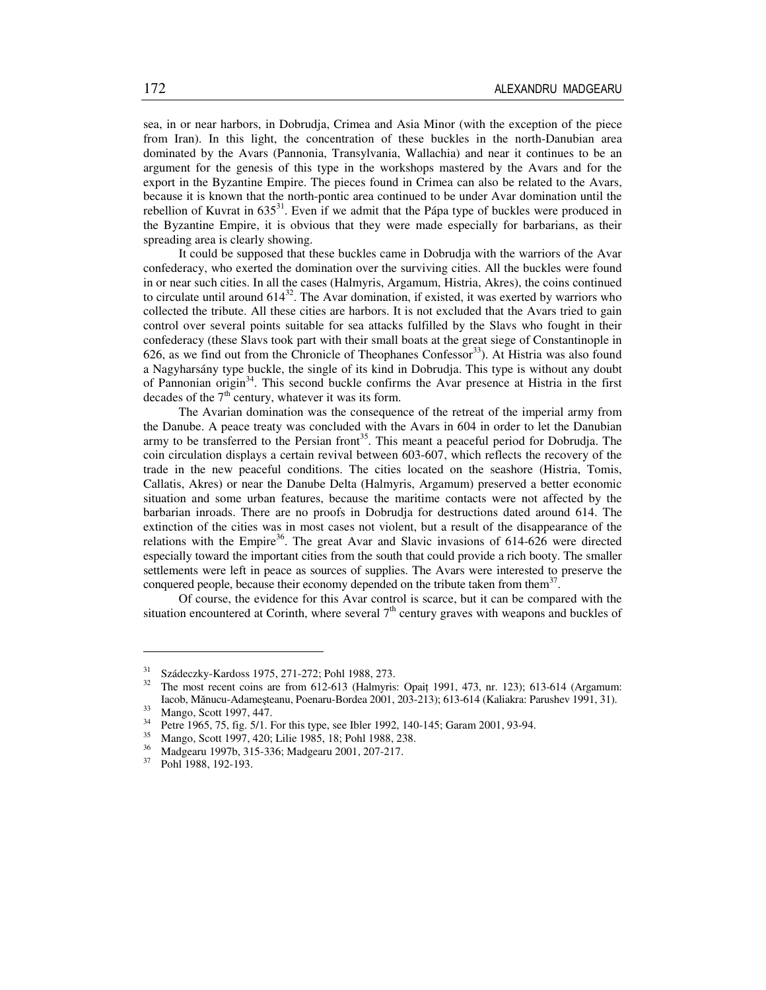sea, in or near harbors, in Dobrudja, Crimea and Asia Minor (with the exception of the piece from Iran). In this light, the concentration of these buckles in the north-Danubian area dominated by the Avars (Pannonia, Transylvania, Wallachia) and near it continues to be an argument for the genesis of this type in the workshops mastered by the Avars and for the export in the Byzantine Empire. The pieces found in Crimea can also be related to the Avars, because it is known that the north-pontic area continued to be under Avar domination until the rebellion of Kuvrat in  $635^{31}$ . Even if we admit that the Pápa type of buckles were produced in the Byzantine Empire, it is obvious that they were made especially for barbarians, as their spreading area is clearly showing.

It could be supposed that these buckles came in Dobrudja with the warriors of the Avar confederacy, who exerted the domination over the surviving cities. All the buckles were found in or near such cities. In all the cases (Halmyris, Argamum, Histria, Akres), the coins continued to circulate until around  $614^{32}$ . The Avar domination, if existed, it was exerted by warriors who collected the tribute. All these cities are harbors. It is not excluded that the Avars tried to gain control over several points suitable for sea attacks fulfilled by the Slavs who fought in their confederacy (these Slavs took part with their small boats at the great siege of Constantinople in 626, as we find out from the Chronicle of Theophanes Confessor<sup>33</sup>). At Histria was also found a Nagyharsány type buckle, the single of its kind in Dobrudja. This type is without any doubt of Pannonian origin<sup>34</sup>. This second buckle confirms the Avar presence at Histria in the first decades of the  $7<sup>th</sup>$  century, whatever it was its form.

The Avarian domination was the consequence of the retreat of the imperial army from the Danube. A peace treaty was concluded with the Avars in 604 in order to let the Danubian army to be transferred to the Persian front<sup>35</sup>. This meant a peaceful period for Dobrudja. The coin circulation displays a certain revival between 603-607, which reflects the recovery of the trade in the new peaceful conditions. The cities located on the seashore (Histria, Tomis, Callatis, Akres) or near the Danube Delta (Halmyris, Argamum) preserved a better economic situation and some urban features, because the maritime contacts were not affected by the barbarian inroads. There are no proofs in Dobrudja for destructions dated around 614. The extinction of the cities was in most cases not violent, but a result of the disappearance of the relations with the Empire<sup>36</sup>. The great Avar and Slavic invasions of  $614-626$  were directed especially toward the important cities from the south that could provide a rich booty. The smaller settlements were left in peace as sources of supplies. The Avars were interested to preserve the conquered people, because their economy depended on the tribute taken from them $37$ .

Of course, the evidence for this Avar control is scarce, but it can be compared with the situation encountered at Corinth, where several  $7<sup>th</sup>$  century graves with weapons and buckles of

 $31$  Szádeczky-Kardoss 1975, 271-272; Pohl 1988, 273.

<sup>32</sup> The most recent coins are from 612-613 (Halmyris: Opaiţ 1991, 473, nr. 123); 613-614 (Argamum: Iacob, Mănucu-Adameşteanu, Poenaru-Bordea 2001, 203-213); 613-614 (Kaliakra: Parushev 1991, 31).

 $\frac{33}{34}$  Mango, Scott 1997, 447.

<sup>&</sup>lt;sup>34</sup> Petre 1965, 75, fig. 5/1. For this type, see Ibler 1992, 140-145; Garam 2001, 93-94.

<sup>&</sup>lt;sup>35</sup> Mango, Scott 1997, 420; Lilie 1985, 18; Pohl 1988, 238.<br><sup>36</sup> Madagam 1997b, 215, 226; Madagam 2001, 207, 217.

<sup>&</sup>lt;sup>36</sup> Madgearu 1997b, 315-336; Madgearu 2001, 207-217.<br><sup>37</sup> Pobl 1988, 192-193

Pohl 1988, 192-193.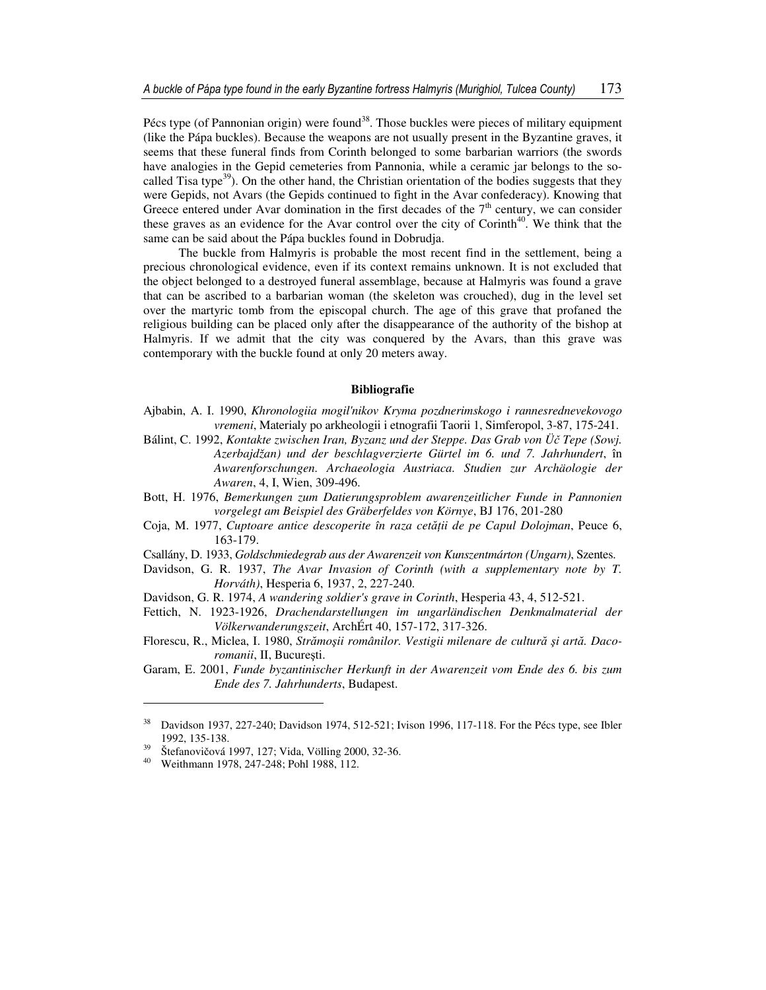Pécs type (of Pannonian origin) were found<sup>38</sup>. Those buckles were pieces of military equipment (like the Pápa buckles). Because the weapons are not usually present in the Byzantine graves, it seems that these funeral finds from Corinth belonged to some barbarian warriors (the swords have analogies in the Gepid cemeteries from Pannonia, while a ceramic jar belongs to the socalled Tisa type<sup>39</sup>). On the other hand, the Christian orientation of the bodies suggests that they were Gepids, not Avars (the Gepids continued to fight in the Avar confederacy). Knowing that Greece entered under Avar domination in the first decades of the  $7<sup>th</sup>$  century, we can consider these graves as an evidence for the Avar control over the city of Corinth<sup>40</sup>. We think that the same can be said about the Pápa buckles found in Dobrudja.

The buckle from Halmyris is probable the most recent find in the settlement, being a precious chronological evidence, even if its context remains unknown. It is not excluded that the object belonged to a destroyed funeral assemblage, because at Halmyris was found a grave that can be ascribed to a barbarian woman (the skeleton was crouched), dug in the level set over the martyric tomb from the episcopal church. The age of this grave that profaned the religious building can be placed only after the disappearance of the authority of the bishop at Halmyris. If we admit that the city was conquered by the Avars, than this grave was contemporary with the buckle found at only 20 meters away.

## **Bibliografie**

- Ajbabin, A. I. 1990, *Khronologiia mogil'nikov Kryma pozdnerimskogo i rannesrednevekovogo vremeni*, Materialy po arkheologii i etnografii Taorii 1, Simferopol, 3-87, 175-241.
- Bálint, C. 1992, *Kontakte zwischen Iran, Byzanz und der Steppe. Das Grab von Ü*č *Tepe (Sowj. Azerbajdžan) und der beschlagverzierte Gürtel im 6. und 7. Jahrhundert*, în *Awarenforschungen. Archaeologia Austriaca. Studien zur Archäologie der Awaren*, 4, I, Wien, 309-496.
- Bott, H. 1976, *Bemerkungen zum Datierungsproblem awarenzeitlicher Funde in Pannonien vorgelegt am Beispiel des Gräberfeldes von Környe*, BJ 176, 201-280
- Coja, M. 1977, *Cuptoare antice descoperite în raza cet*ăţ*ii de pe Capul Dolojman*, Peuce 6, 163-179.
- Csallány, D. 1933, *Goldschmiedegrab aus der Awarenzeit von Kunszentmárton (Ungarn)*, Szentes.
- Davidson, G. R. 1937, *The Avar Invasion of Corinth (with a supplementary note by T. Horváth)*, Hesperia 6, 1937, 2, 227-240.
- Davidson, G. R. 1974, *A wandering soldier's grave in Corinth*, Hesperia 43, 4, 512-521.
- Fettich, N. 1923-1926, *Drachendarstellungen im ungarländischen Denkmalmaterial der Völkerwanderungszeit*, ArchÉrt 40, 157-172, 317-326.
- Florescu, R., Miclea, I. 1980, *Str*ă*mo*ş*ii românilor. Vestigii milenare de cultur*ă ş*i art*ă*. Dacoromanii*, II, Bucureşti.
- Garam, E. 2001, *Funde byzantinischer Herkunft in der Awarenzeit vom Ende des 6. bis zum Ende des 7. Jahrhunderts*, Budapest.

<sup>38</sup> Davidson 1937, 227-240; Davidson 1974, 512-521; Ivison 1996, 117-118. For the Pécs type, see Ibler 1992, 135-138.

<sup>39</sup> Štefanovičová 1997, 127; Vida, Völling 2000, 32-36.

Weithmann 1978, 247-248; Pohl 1988, 112.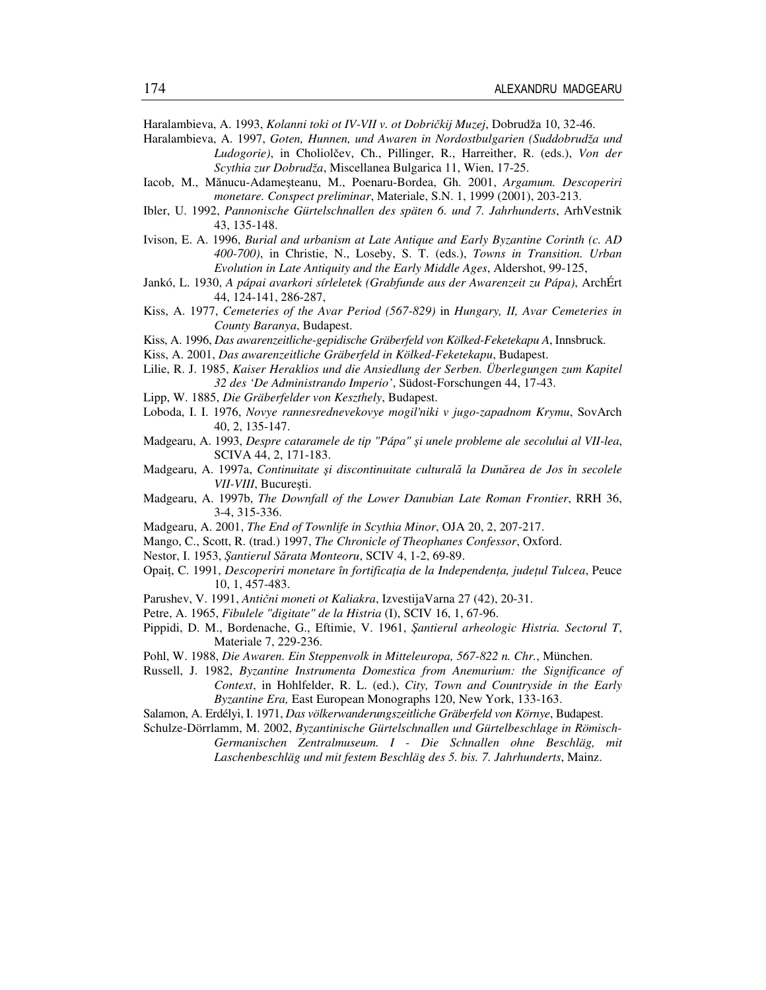Haralambieva, A. 1993, *Kolanni toki ot IV-VII v. ot Dobri*č*kij Muzej*, Dobrudža 10, 32-46.

- Haralambieva, A. 1997, *Goten, Hunnen, und Awaren in Nordostbulgarien (Suddobrudža und Ludogorie)*, in Choliolčev, Ch., Pillinger, R., Harreither, R. (eds.), *Von der Scythia zur Dobrudža*, Miscellanea Bulgarica 11, Wien, 17-25.
- Iacob, M., Mănucu-Adameşteanu, M., Poenaru-Bordea, Gh. 2001, *Argamum. Descoperiri monetare. Conspect preliminar*, Materiale, S.N. 1, 1999 (2001), 203-213.
- Ibler, U. 1992, *Pannonische Gürtelschnallen des späten 6. und 7. Jahrhunderts*, ArhVestnik 43, 135-148.
- Ivison, E. A. 1996, *Burial and urbanism at Late Antique and Early Byzantine Corinth (c. AD 400-700)*, in Christie, N., Loseby, S. T. (eds.), *Towns in Transition. Urban Evolution in Late Antiquity and the Early Middle Ages*, Aldershot, 99-125,
- Jankó, L. 1930, *A pápai avarkori sírleletek (Grabfunde aus der Awarenzeit zu Pápa)*, ArchÉrt 44, 124-141, 286-287,
- Kiss, A. 1977, *Cemeteries of the Avar Period (567-829)* in *Hungary, II, Avar Cemeteries in County Baranya*, Budapest.
- Kiss, A. 1996, *Das awarenzeitliche-gepidische Gräberfeld von Kölked-Feketekapu A*, Innsbruck.
- Kiss, A. 2001, *Das awarenzeitliche Gräberfeld in Kölked-Feketekapu*, Budapest.
- Lilie, R. J. 1985, *Kaiser Heraklios und die Ansiedlung der Serben. Überlegungen zum Kapitel 32 des 'De Administrando Imperio'*, Südost-Forschungen 44, 17-43.
- Lipp, W. 1885, *Die Gräberfelder von Keszthely*, Budapest.
- Loboda, I. I. 1976, *Novye rannesrednevekovye mogil'niki v jugo-zapadnom Krymu*, SovArch 40, 2, 135-147.
- Madgearu, A. 1993, *Despre cataramele de tip "Pápa"* ş*i unele probleme ale secolului al VII-lea*, SCIVA 44, 2, 171-183.
- Madgearu, A. 1997a, *Continuitate* ş*i discontinuitate cultural*ă *la Dun*ă*rea de Jos în secolele VII-VIII*, Bucureşti.
- Madgearu, A. 1997b, *The Downfall of the Lower Danubian Late Roman Frontier*, RRH 36, 3-4, 315-336.
- Madgearu, A. 2001, *The End of Townlife in Scythia Minor*, OJA 20, 2, 207-217.
- Mango, C., Scott, R. (trad.) 1997, *The Chronicle of Theophanes Confessor*, Oxford.
- Nestor, I. 1953, Ş*antierul S*ă*rata Monteoru*, SCIV 4, 1-2, 69-89.
- Opaiţ, C. 1991, *Descoperiri monetare în fortifica*ţ*ia de la Independen*ţ*a, jude*ţ*ul Tulcea*, Peuce 10, 1, 457-483.
- Parushev, V. 1991, *Anti*č*ni moneti ot Kaliakra*, IzvestijaVarna 27 (42), 20-31.
- Petre, A. 1965, *Fibulele "digitate" de la Histria* (I), SCIV 16, 1, 67-96.
- Pippidi, D. M., Bordenache, G., Eftimie, V. 1961, Ş*antierul arheologic Histria. Sectorul T*, Materiale 7, 229-236.
- Pohl, W. 1988, *Die Awaren. Ein Steppenvolk in Mitteleuropa, 567-822 n. Chr.*, München.
- Russell, J. 1982, *Byzantine Instrumenta Domestica from Anemurium: the Significance of Context*, in Hohlfelder, R. L. (ed.), *City, Town and Countryside in the Early Byzantine Era,* East European Monographs 120, New York, 133-163.
- Salamon, A. Erdélyi, I. 1971, *Das völkerwanderungszeitliche Gräberfeld von Környe*, Budapest.
- Schulze-Dörrlamm, M. 2002, *Byzantinische Gürtelschnallen und Gürtelbeschlage in Römisch-Germanischen Zentralmuseum. I - Die Schnallen ohne Beschläg, mit Laschenbeschläg und mit festem Beschläg des 5. bis. 7. Jahrhunderts*, Mainz.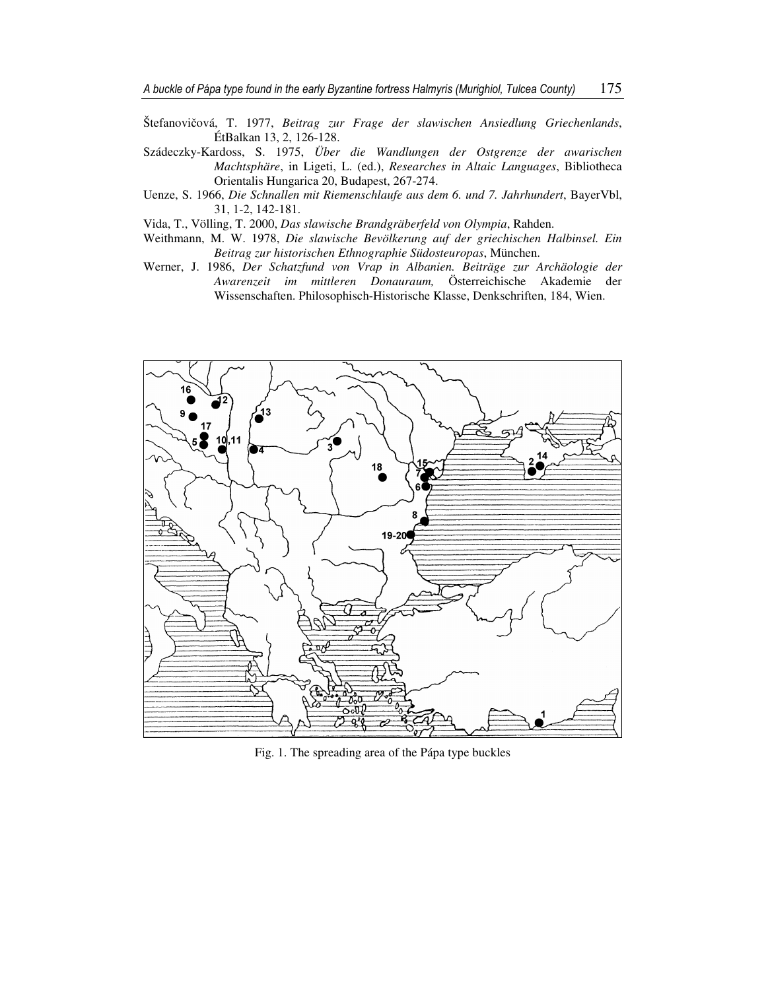- Štefanovičová, T. 1977, *Beitrag zur Frage der slawischen Ansiedlung Griechenlands*, ÉtBalkan 13, 2, 126-128.
- Szádeczky-Kardoss, S. 1975, *Über die Wandlungen der Ostgrenze der awarischen Machtsphäre*, in Ligeti, L. (ed.), *Researches in Altaic Languages*, Bibliotheca Orientalis Hungarica 20, Budapest, 267-274.
- Uenze, S. 1966, *Die Schnallen mit Riemenschlaufe aus dem 6. und 7. Jahrhundert*, BayerVbl, 31, 1-2, 142-181.
- Vida, T., Völling, T. 2000, *Das slawische Brandgräberfeld von Olympia*, Rahden.
- Weithmann, M. W. 1978, *Die slawische Bevölkerung auf der griechischen Halbinsel. Ein Beitrag zur historischen Ethnographie Südosteuropas*, München.
- Werner, J. 1986, *Der Schatzfund von Vrap in Albanien. Beiträge zur Archäologie der Awarenzeit im mittleren Donauraum,* Österreichische Akademie der Wissenschaften. Philosophisch-Historische Klasse, Denkschriften, 184, Wien.



Fig. 1. The spreading area of the Pápa type buckles